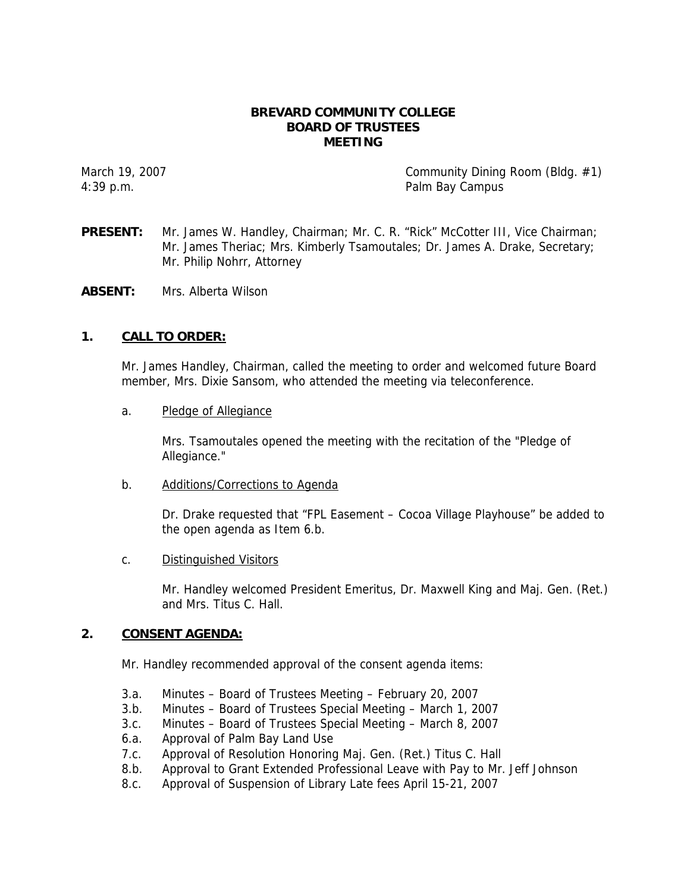### **BREVARD COMMUNITY COLLEGE BOARD OF TRUSTEES MEETING**

March 19, 2007 **Community Dining Room (Bildg. #1)** 4:39 p.m. Palm Bay Campus

**PRESENT:** Mr. James W. Handley, Chairman; Mr. C. R. "Rick" McCotter III, Vice Chairman; Mr. James Theriac; Mrs. Kimberly Tsamoutales; Dr. James A. Drake, Secretary; Mr. Philip Nohrr, Attorney

**ABSENT:** Mrs. Alberta Wilson

### **1. CALL TO ORDER:**

Mr. James Handley, Chairman, called the meeting to order and welcomed future Board member, Mrs. Dixie Sansom, who attended the meeting via teleconference.

a. Pledge of Allegiance

Mrs. Tsamoutales opened the meeting with the recitation of the "Pledge of Allegiance."

b. Additions/Corrections to Agenda

Dr. Drake requested that "FPL Easement – Cocoa Village Playhouse" be added to the open agenda as Item 6.b.

c. Distinguished Visitors

Mr. Handley welcomed President Emeritus, Dr. Maxwell King and Maj. Gen. (Ret.) and Mrs. Titus C. Hall.

#### **2. CONSENT AGENDA:**

Mr. Handley recommended approval of the consent agenda items:

- 3.a. Minutes Board of Trustees Meeting February 20, 2007
- 3.b. Minutes Board of Trustees Special Meeting March 1, 2007
- 3.c. Minutes Board of Trustees Special Meeting March 8, 2007
- 6.a. Approval of Palm Bay Land Use
- 7.c. Approval of Resolution Honoring Maj. Gen. (Ret.) Titus C. Hall
- 8.b. Approval to Grant Extended Professional Leave with Pay to Mr. Jeff Johnson
- 8.c. Approval of Suspension of Library Late fees April 15-21, 2007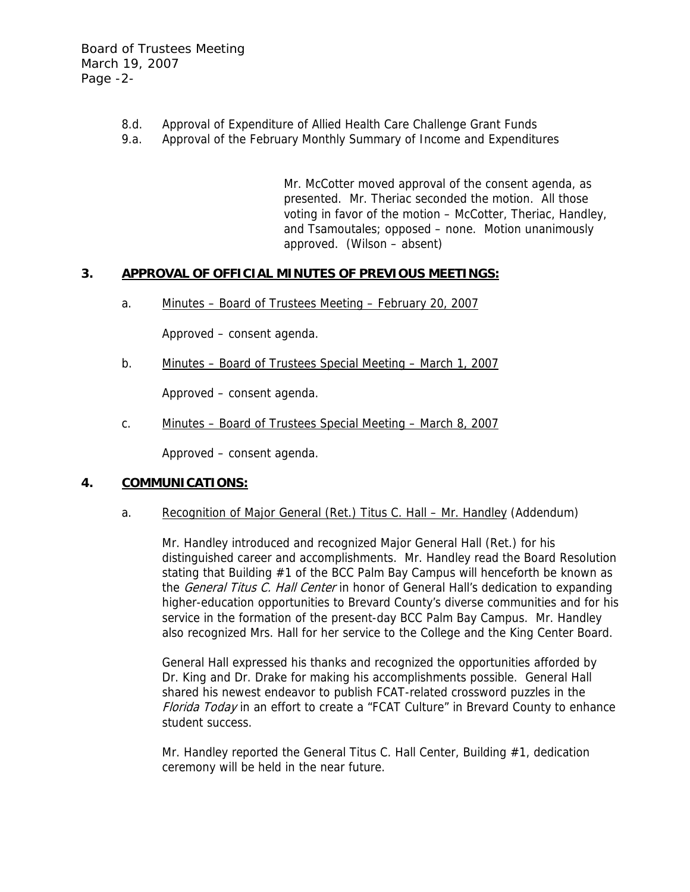- 8.d. Approval of Expenditure of Allied Health Care Challenge Grant Funds
- 9.a. Approval of the February Monthly Summary of Income and Expenditures

Mr. McCotter moved approval of the consent agenda, as presented. Mr. Theriac seconded the motion. All those voting in favor of the motion – McCotter, Theriac, Handley, and Tsamoutales; opposed – none. Motion unanimously approved. (Wilson – absent)

## **3. APPROVAL OF OFFICIAL MINUTES OF PREVIOUS MEETINGS:**

a. Minutes – Board of Trustees Meeting – February 20, 2007

Approved – consent agenda.

b. Minutes – Board of Trustees Special Meeting – March 1, 2007

Approved – consent agenda.

c. Minutes – Board of Trustees Special Meeting – March 8, 2007

Approved – consent agenda.

## **4. COMMUNICATIONS:**

a. Recognition of Major General (Ret.) Titus C. Hall – Mr. Handley (Addendum)

Mr. Handley introduced and recognized Major General Hall (Ret.) for his distinguished career and accomplishments. Mr. Handley read the Board Resolution stating that Building #1 of the BCC Palm Bay Campus will henceforth be known as the *General Titus C. Hall Center* in honor of General Hall's dedication to expanding higher-education opportunities to Brevard County's diverse communities and for his service in the formation of the present-day BCC Palm Bay Campus. Mr. Handley also recognized Mrs. Hall for her service to the College and the King Center Board.

General Hall expressed his thanks and recognized the opportunities afforded by Dr. King and Dr. Drake for making his accomplishments possible. General Hall shared his newest endeavor to publish FCAT-related crossword puzzles in the Florida Today in an effort to create a "FCAT Culture" in Brevard County to enhance student success.

Mr. Handley reported the General Titus C. Hall Center, Building #1, dedication ceremony will be held in the near future.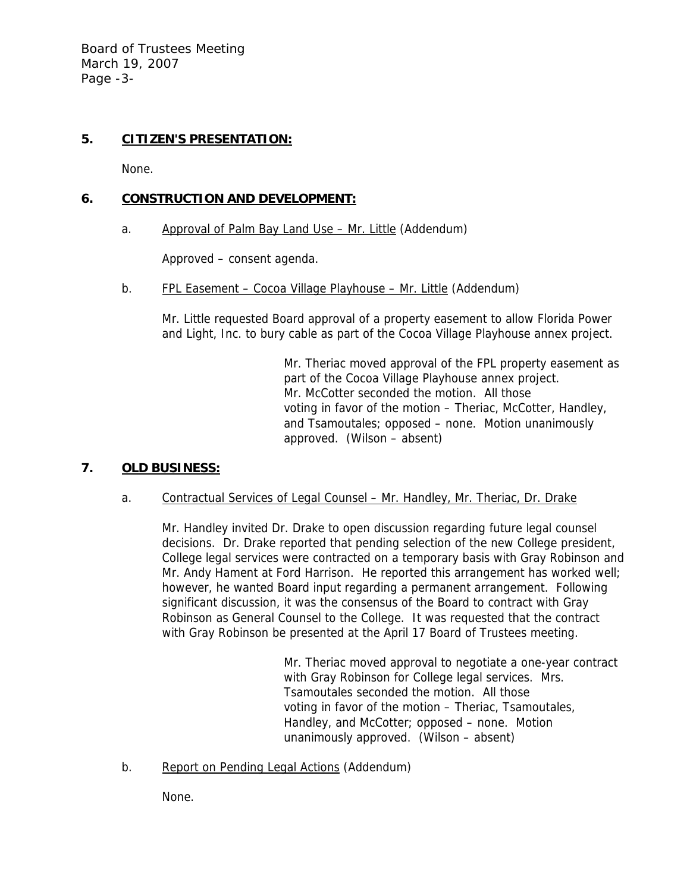Board of Trustees Meeting March 19, 2007 Page -3-

# **5. CITIZEN'S PRESENTATION:**

None.

## **6. CONSTRUCTION AND DEVELOPMENT:**

a. Approval of Palm Bay Land Use – Mr. Little (Addendum)

Approved – consent agenda.

b. FPL Easement – Cocoa Village Playhouse – Mr. Little (Addendum)

Mr. Little requested Board approval of a property easement to allow Florida Power and Light, Inc. to bury cable as part of the Cocoa Village Playhouse annex project.

> Mr. Theriac moved approval of the FPL property easement as part of the Cocoa Village Playhouse annex project. Mr. McCotter seconded the motion. All those voting in favor of the motion – Theriac, McCotter, Handley, and Tsamoutales; opposed – none. Motion unanimously approved. (Wilson – absent)

# **7. OLD BUSINESS:**

a. Contractual Services of Legal Counsel – Mr. Handley, Mr. Theriac, Dr. Drake

Mr. Handley invited Dr. Drake to open discussion regarding future legal counsel decisions. Dr. Drake reported that pending selection of the new College president, College legal services were contracted on a temporary basis with Gray Robinson and Mr. Andy Hament at Ford Harrison. He reported this arrangement has worked well; however, he wanted Board input regarding a permanent arrangement. Following significant discussion, it was the consensus of the Board to contract with Gray Robinson as General Counsel to the College. It was requested that the contract with Gray Robinson be presented at the April 17 Board of Trustees meeting.

> Mr. Theriac moved approval to negotiate a one-year contract with Gray Robinson for College legal services. Mrs. Tsamoutales seconded the motion. All those voting in favor of the motion – Theriac, Tsamoutales, Handley, and McCotter; opposed – none. Motion unanimously approved. (Wilson – absent)

b. Report on Pending Legal Actions (Addendum)

None.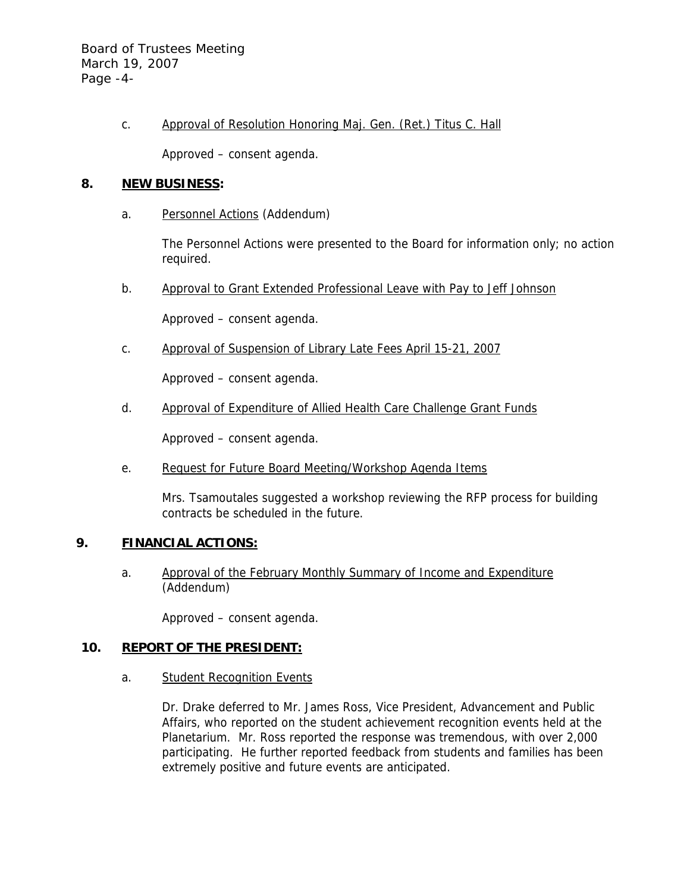Board of Trustees Meeting March 19, 2007 Page -4-

c. Approval of Resolution Honoring Maj. Gen. (Ret.) Titus C. Hall

Approved – consent agenda.

### **8. NEW BUSINESS:**

a. Personnel Actions (Addendum)

The Personnel Actions were presented to the Board for information only; no action required.

b. Approval to Grant Extended Professional Leave with Pay to Jeff Johnson

Approved – consent agenda.

c. Approval of Suspension of Library Late Fees April 15-21, 2007

Approved – consent agenda.

d. Approval of Expenditure of Allied Health Care Challenge Grant Funds

Approved – consent agenda.

e. Request for Future Board Meeting/Workshop Agenda Items

Mrs. Tsamoutales suggested a workshop reviewing the RFP process for building contracts be scheduled in the future.

## **9. FINANCIAL ACTIONS:**

a. Approval of the February Monthly Summary of Income and Expenditure (Addendum)

Approved – consent agenda.

### **10. REPORT OF THE PRESIDENT:**

a. Student Recognition Events

Dr. Drake deferred to Mr. James Ross, Vice President, Advancement and Public Affairs, who reported on the student achievement recognition events held at the Planetarium. Mr. Ross reported the response was tremendous, with over 2,000 participating. He further reported feedback from students and families has been extremely positive and future events are anticipated.